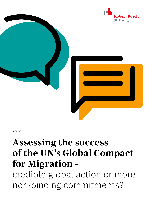



Analysis

## **Assessing the success of the UN's Global Compact for Migration –**

credible global action or more non-binding commitments?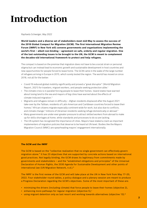## **Introduction**

#### *Raphaela Schweiger, May 2022*

**World leaders and a diverse set of stakeholders meet mid-May to assess the success of the 2018 Global Compact for Migration (GCM). The first International Migration Review Forum (IMRF) in New York will convene governments and organizations implementing the world's first – albeit non-binding – agreement on safe, orderly and regular migration. One of the last outstanding issues to be brought to the UN, the GCM is meant to complement the decades-old international framework to protect and help refugees.** 

The compact is based on the premise that migration does not have to be a social strain or personal stigma but can instead lead to economic growth and sustainable development in host countries and new opportunities for people forced to leave home. The GCM came in the wake of the large number of refugees arriving in Europe in 2015, which sorely tested the region. The world has moved on since 2018, not all for the better:

- Covid-19 reduced global mobility significantly and proved a "great disruptor" (World Migration Report, 2021) for travelers, migrant workers, and people seeking protection alike.<sup>1</sup>
- The climate crisis is in parallel forcing people to leave their homes. Island states have warned about losing land to the sea and mayors of big cities have warned about the effects of climate-induced migration.2
- Migrants and refugees remain in difficulty Afghan residents displaced after the August 2021 take-over by the Taliban; residents of Latin American and Caribbean countries forced to leave their homes;<sup>3</sup> African citizens migrate especially continent-wide for work, but also due to conflicts, and climate change;<sup>4</sup> millions of Ukrainian residents seeking refuge domestically or abroad.<sup>5</sup>
- Many governments are under ever greater pressure to attract skilled workers from abroad to make up for skills shortages at home, while standards and processes to do so are lacking.
- The UN system has recognized the importance of cities. Mayors have staked a claim as important implementers of migration policies that deserve to be heard at UN-level. Bodies like the Mayors Migration Council (MMC) are spearheading mayors' engagement internationally.

#### **The GCM and the IMRF**

The GCM is based on the "collective realization that no single government can effectively govern migration alone." It has 23 objectives that are supported by concrete actions based on international good practices. Not legally binding, the GCM draws its legitimacy from commitments made by governments and stakeholders – and the "established obligations and principles" of the Universal Declaration of Human Rights, the 2030 Agenda for Sustainable Development and other points of international law (UN Migration Network, n.d.).6

The IMRF is the first review of the GCM and will take place at the UN in New York from May 17–20, 2022. Four stakeholder round tables, a policy dialogue and a plenary session are meant to produce a Progress Declaration regarding the GCM's objectives. Some of the most important of these are:

- minimizing the drivers (including climate) that force people to leave their homes (objective 2),
- enhancing more pathways for regular migration (objective  $5$ ),<sup>7</sup>
- using migrant detention only as last resort and working towards alternatives (objective 13).<sup>8</sup>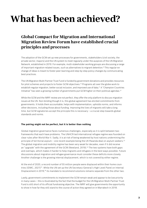# **What has been achieved?**

## **Global Compact for Migration and International Migration Review Forum have established crucial principles and processes**

The adoption of the GCM set up new processes for governments, stakeholders (civil society, the private sector, mayors) and the UN system to meet regularly under the auspices of the UN Migration Network, established in 2019. For example, multi-stakeholder working groups are discussing a range of important migration-related issues, such as alternatives to migrant detention.9 This regular exchange of ideas is meant to foster peer learning and step-by-step policy changes by communicating best practices.

The UN Migration Multi-Partner Trust Fund is funded by government donations and provides resources for pilot schemes and projects to foster GCM objectives.10 Programs all over the globe work to establish regular migration, better social inclusion, and improved use of data.11 A "Champion Countries Initiative" has seen a growing number of governments put GCM higher on their political agendas.12

While the GCM and the IMRF review are not perfect, they offer the only platform to discuss migration issues at the UN. Non-binding though it is, this global agreement has elicited commitments from governments. It holds them accountable, helps with implementation, upholds norms, and informs other decisions, including those about funding. Improving the lives of migrants will take a long time, but GCM signatories accept the principle this is necessary – a crucial step towards global standards and norms.

### **The pairing might not be perfect, but it is better than nothing**

Global migration governance faces numerous challenges, especially as it is split between two frameworks that each have problems. The UNHCR-led international refugee regime was founded on clear rules after World War II. Sadly, it is at risk of being weakened by host nations undermining the principle of territorial asylum – one recent example being the UK-Rwanda deal on asylum seekers.13 The global migration and mobility regime has been very weak for decades, even if it did receive an "upgrade" with the agreement of the GCM (Newland, 2019).<sup>14</sup> The two systems have both gaps and overlaps, which makes it harder to help migrants and refugees in the best ways possible. Future discussions about migration and refugee governance must consider these deficits more closely. Another challenge is the growing internal displacement, which is not covered by either regime.

At the end of 2020, a record number of 55 million people were displaced within their home countries (IDMC, 2021)<sup>15</sup>. While the UN set up the UN Secretary-General's High-Level Panel on Internal Displacement in 2019,<sup>16</sup> its mandate to recommend solutions remains separate from the other two.

Lastly, government commitments to implement the GCM remain weak and appear to be low priority in many cases – this is illustrated by the fact that the budget for the UN Migration Multi-Partner Trust Fund is still short of its official fundraising objective. The IMRF will give governments the opportunity to show in how far they still stand to the course of action they agreed on in Marrakech in 2018.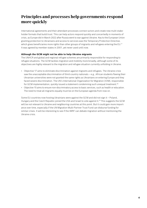## **Principles and processes help governments respond more quickly**

International agreements and their attendant processes connect actors and create new multi-stakeholder formats that build trust. This can help actors respond quickly and concertedly in moments of crisis, as Europe did in March 2022 after Russia went to war against Ukraine. Key to the European Union granting protection to Ukrainians and access to services was the Temporary Protection Directive, which gives beneficiaries more rights than other groups of migrants and refugees entering the EU.<sup>17</sup> It was agreed by member states in 2001, yet never used until now.

### **Although the GCM might not be able to help Ukraine migrants**

The UNHCR and global and regional refugee schemes are primarily responsible for responding to refugee situations. The GCM tackles migration and mobility more broadly, although some of its objectives are highly relevant to the migration and refugee situation currently unfolding in Ukraine.

- Objective 17 aims to eliminate discrimination against migrants and refugees. The Ukraine crisis saw the unacceptable discrimination of third-country nationals – e.g., African students fleeing their Ukrainian universities were not granted the same rights as Ukrainians on entering Europe and they faced severe discrimination. The UN's International Organization for Migration (IOM), responsible for GCM implementation, quickly issued a statement condemning such unequal treatment.18
- Objective 15 aims to ensure non-discriminatory access to basic services, such as health or education. The need to treat all migrants equally must be on the European agenda from now on.

Some EU countries now hosting Ukrainians were against the GCM and did not sign it – Poland, Hungary and the Czech Republic joined the USA and Israel to vote against it.<sup>19</sup> This suggests the GCM will be not relevant to Ukraine and neighboring countries at this point. But it could gain more importance over time, especially if the UN Migration Multi-Partner Trust Fund can disburse funding for similar crises. It will be interesting to see if the IMRF can debate migration without mentioning the Ukraine crisis.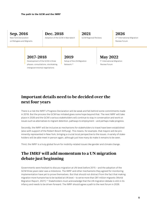**Sep. 2016**

New York Declaration on Refugees and Migrants **Dec. 2018** Adoption of the GCM in Marrakech

**2021** GCM Regional Reviews

**2026** 2nd International Migration Review Forum

## **2017–2018**

Development of the GCM in three phases: consultations, stocktaking, intergovernmental negotiations

**2019** Setup of the UN Migration Network 20

## **May 2022** 1<sup>st</sup> International Migration Review Forum

## **Important details need to be decided over the next four years**

There is a risk the IMRF's Progress Declaration will be weak and fall behind some commitments made in 2018. But the process the GCM has initiated gives some hope beyond that. The next IMRF will take place in 2026 and the GCM's various stakeholders will continue to stay in conversation and work on issues such as alternatives to migrant detention, pathways to employment – and perhaps make progress.

Secondly, the IMRF will be inclusive as mechanisms for stakeholders to travel have been established (also with support of the Robert Bosch Stiftung). This means, for example, that mayors will be prominently represented in New York, bringing a crucial local perspective to the issues. A variety of stakeholders will be able meet in person again, although just how many do make it remains to be seen.

Third, the IMRF is a truly global forum for mobility-related issues like gender and climate change.

## **The IMRF will add momentum to a UN migration debate just beginning**

Governments were hesitant to discuss migration at UN-level before 2015 – and the adoption of the GCM three years later was a milestone. The IMRF and other mechanisms they agreed for monitoring implementation have yet to prove themselves. But that should not distract from the fact that making migration more humane has to be tackled at UN level – to serve more than 281 million migrants (World Migration Report, 2021).<sup>21</sup> Stakeholders must acknowledge that the UN migration debate is still in its infancy and needs to be driven forward. The IMRF should agree a path to the next forum in 2026.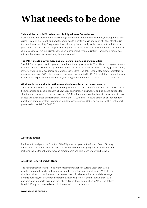## **What needs to be done**

### **This and the next GCM review must boldly address future issues**

Governments and stakeholders have enough information about the many trends, developments, and crises – from public health and new technologies to climate change and conflict – that affect migration and human mobility. They must address looming issues boldly and come up with solutions in good time. More preventative approaches to potential future crises and developments – the effects of climate change or technological changes on human mobility and migration – are not only more costefficient but also more immediately human-centered.

#### **The IMRF should deliver more national commitments and include cities**

The IMRF is designed to elicit greater commitment from governments. The UN can push governments to adhere to the GCM and set up implementation mechanisms – but so do civil society, private sector, mayors, trade unions, academia, and other stakeholders. The IMRF should also create indicators to measure progress of GCM implementation – an option omitted in 2018. In addition, it should look at mechanisms to permanently include mayors along with other non-state actors in the GCM process.

### **GCM needs data and information to underpin regular expert assessments**

There is much research on migration globally. But there is still a lack of data about the state of scientific, technical, and socio-economic knowledge on migration, its impacts and risks, and options for shaping a human-centered migration policy. GCM implementation will only work if governments have access to new sources of information. Akin to the IPCC, the IMRF should establish an independent panel of migration scholars to produce regular assessments of global migration – with a first report presented at the IMRF in 2026.<sup>22</sup>

### **About the author**

Raphaela Schweiger is the Director of the Migration program at the Robert Bosch Stiftung. Since joining the Foundation in 2015, she developed numerous programs on migration and inclusion issues for policy makers and practitioners and published widely on the issues.

#### **About the Robert Bosch Stiftung**

The Robert Bosch Stiftung is one of the major foundations in Europe associated with a private company. It works in the areas of health, education, and global issues. With its charitable activities, it contributes to the development of viable solutions to social challenges. For this purpose, the Foundation implements its own projects, enters into alliances with partners, and supports third-party initiatives. Since it was established in 1964, the Robert Bosch Stiftung has invested over 2 billion euros in charitable work.

#### **[www.bosch-stiftung.de](http://www.bosch-stiftung.de)**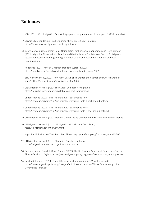## **Endnotes**

- 1 IOM (2021): World Migration Report, <https://worldmigrationreport.iom.int/wmr-2022-interactive/>
- 2 Mayors Migration Council (n.d.): Climate Migration. Cities at Forefront, <https://www.mayorsmigrationcouncil.org/climate>
- 3 Inter-American Development Bank; Organization for Economic Cooperation and Development (2021): Migration Flows in Latin America and the Caribbean: Statistics on Permits for Migrants, [https://publications.iadb.org/en/migration-flows-latin-america-and-caribbean-statistics](https://publications.iadb.org/en/migration-flows-latin-america-and-caribbean-statistics-permits-migrants)[permits-migrants](https://publications.iadb.org/en/migration-flows-latin-america-and-caribbean-statistics-permits-migrants)
- 4 Reliefweb (2021): African Migration Trends to Watch in 2022, <https://reliefweb.int/report/world/african-migration-trends-watch-2022>
- 5 BBC News (April 30, 2022): How many Ukrainians have fled their homes and where have they gone?,<https://www.bbc.com/news/world-60555472>
- 6 UN Migration Network (n.d.): The Global Compact for Migration, <https://migrationnetwork.un.org/global-compact-for-migration>
- 7 United Nations (2022): IMRF Roundtable 1. Background Note, <https://www.un.org/sites/un2.un.org/files/imrf-roud-table-1-background-note.pdf>
- 8 United Nations (2022): IMRF Roundtable 2. Background Note, <https://www.un.org/sites/un2.un.org/files/imrf-roud-table-2-background-note.pdf>
- 9 UN Migration Network (n.d.): Working Groups,<https://migrationnetwork.un.org/working-groups>
- 10 UN Migration Network (n.d.): UN Migration Multi-Partner Trust Fund, <https://migrationnetwork.un.org/mptf>
- 11 Migration Multi-Partner Trust Fund Fact Sheet,<https://mptf.undp.org/factsheet/fund/MIG00>
- 12 UN Migration Network (n.d.): Champion Countries Initiative, <https://migrationnetwork.un.org/champion-countries>
- 13 Beirens, Hanne/ Davidoff-Gore, Samuel (2022): The UK-Rwanda Agreement Represents Another Blow to Territorial Asylum, <https://www.migrationpolicy.org/news/uk-rwanda-asylum-agreement>
- 14 Newland, Kathleen (2019): Global Governance for Migration 2.0. What lies ahead?, [https://www.migrationpolicy.org/sites/default/files/publications/GlobalCompact-Migration](https://www.migrationpolicy.org/sites/default/files/publications/GlobalCompact-MigrationGovernance-Final.pdf) [Governance-Final.pdf](https://www.migrationpolicy.org/sites/default/files/publications/GlobalCompact-MigrationGovernance-Final.pdf)